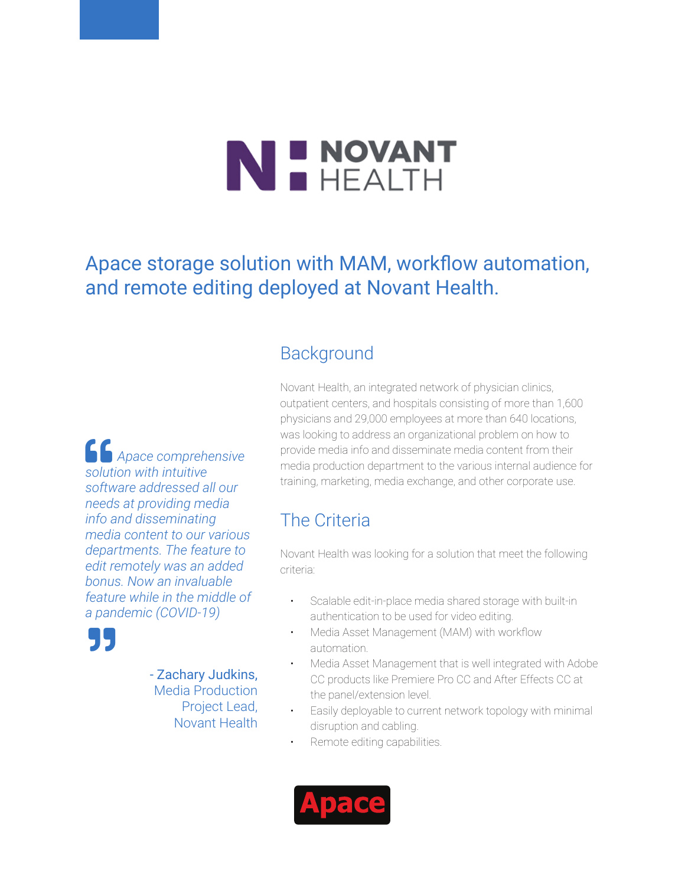## N E NOVANT

Apace storage solution with MAM, workflow automation, and remote editing deployed at Novant Health.

## **Background**

Novant Health, an integrated network of physician clinics, outpatient centers, and hospitals consisting of more than 1,600 physicians and 29,000 employees at more than 640 locations, was looking to address an organizational problem on how to provide media info and disseminate media content from their media production department to the various internal audience for training, marketing, media exchange, and other corporate use.

## The Criteria

Novant Health was looking for a solution that meet the following criteria:

- Scalable edit-in-place media shared storage with built-in authentication to be used for video editing.
- Media Asset Management (MAM) with workflow automation.
- Media Asset Management that is well integrated with Adobe CC products like Premiere Pro CC and After Effects CC at the panel/extension level.
- Easily deployable to current network topology with minimal disruption and cabling.
- Remote editing capabilities.



 *Apace comprehensive solution with intuitive software addressed all our needs at providing media info and disseminating media content to our various departments. The feature to edit remotely was an added bonus. Now an invaluable feature while in the middle of a pandemic (COVID-19)*



- Zachary Judkins, Media Production Project Lead, Novant Health